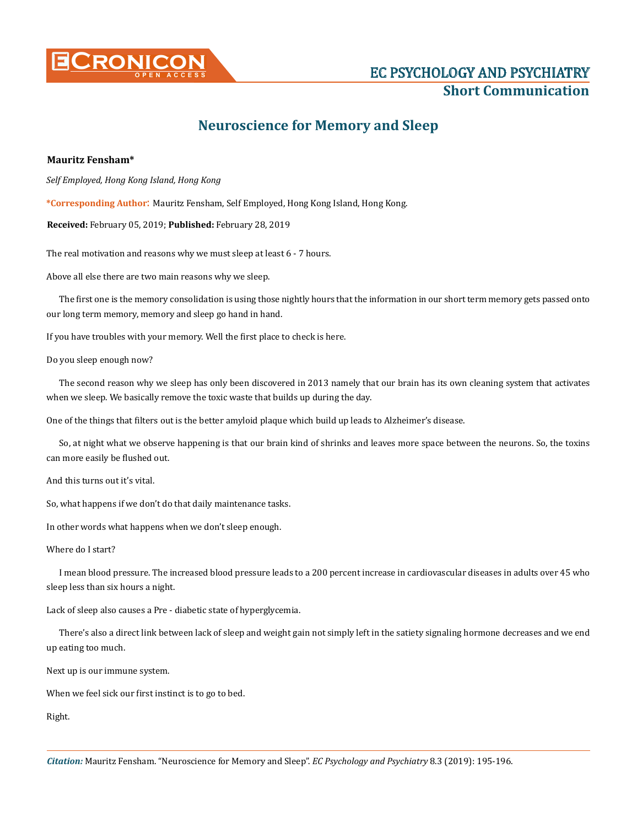

## **Short Communication**

## **Neuroscience for Memory and Sleep**

## **Mauritz Fensham\***

*Self Employed, Hong Kong Island, Hong Kong*

**\*Corresponding Author**: Mauritz Fensham, Self Employed, Hong Kong Island, Hong Kong.

**Received:** February 05, 2019; **Published:** February 28, 2019

The real motivation and reasons why we must sleep at least 6 - 7 hours.

Above all else there are two main reasons why we sleep.

The first one is the memory consolidation is using those nightly hours that the information in our short term memory gets passed onto our long term memory, memory and sleep go hand in hand.

If you have troubles with your memory. Well the first place to check is here.

Do you sleep enough now?

The second reason why we sleep has only been discovered in 2013 namely that our brain has its own cleaning system that activates when we sleep. We basically remove the toxic waste that builds up during the day.

One of the things that filters out is the better amyloid plaque which build up leads to Alzheimer's disease.

So, at night what we observe happening is that our brain kind of shrinks and leaves more space between the neurons. So, the toxins can more easily be flushed out.

And this turns out it's vital.

So, what happens if we don't do that daily maintenance tasks.

In other words what happens when we don't sleep enough.

Where do I start?

I mean blood pressure. The increased blood pressure leads to a 200 percent increase in cardiovascular diseases in adults over 45 who sleep less than six hours a night.

Lack of sleep also causes a Pre - diabetic state of hyperglycemia.

There's also a direct link between lack of sleep and weight gain not simply left in the satiety signaling hormone decreases and we end up eating too much.

Next up is our immune system.

When we feel sick our first instinct is to go to bed.

Right.

*Citation:* Mauritz Fensham. "Neuroscience for Memory and Sleep". *EC Psychology and Psychiatry* 8.3 (2019): 195-196.